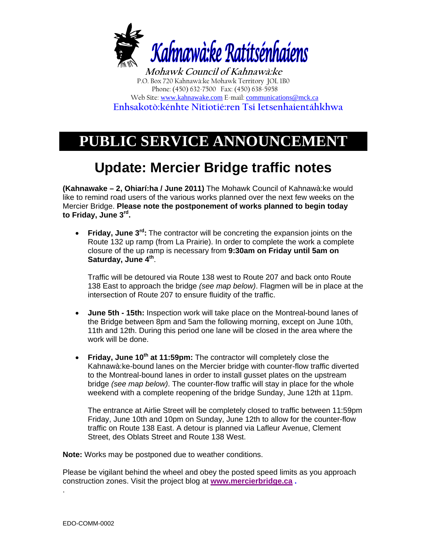

**Mohawk Council of Kahnawà:ke**  P.O. Box 720 Kahnawà:ke Mohawk Territory JOL 1B0 Phone: (450) 632-7500 Fax: (450) 638-5958 Web Site: www.kahnawake.com E-mail: communications@mck.ca  **Enhsakotò:kénhte Nitiotié:ren Tsi Ietsenhaientáhkhwa** 

## **PUBLIC SERVICE ANNOUNCEMENT**

## **Update: Mercier Bridge traffic notes**

**(Kahnawake – 2, Ohiarí:ha / June 2011)** The Mohawk Council of Kahnawà:ke would like to remind road users of the various works planned over the next few weeks on the Mercier Bridge. **Please note the postponement of works planned to begin today to Friday, June 3rd.**

• **Friday, June 3rd:** The contractor will be concreting the expansion joints on the Route 132 up ramp (from La Prairie). In order to complete the work a complete closure of the up ramp is necessary from **9:30am on Friday until 5am on Saturday, June 4th**.

Traffic will be detoured via Route 138 west to Route 207 and back onto Route 138 East to approach the bridge *(see map below)*. Flagmen will be in place at the intersection of Route 207 to ensure fluidity of the traffic.

- **June 5th 15th:** Inspection work will take place on the Montreal-bound lanes of the Bridge between 8pm and 5am the following morning, except on June 10th, 11th and 12th. During this period one lane will be closed in the area where the work will be done.
- **Friday, June 10<sup>th</sup> at 11:59pm:** The contractor will completely close the Kahnawà:ke-bound lanes on the Mercier bridge with counter-flow traffic diverted to the Montreal-bound lanes in order to install gusset plates on the upstream bridge *(see map below)*. The counter-flow traffic will stay in place for the whole weekend with a complete reopening of the bridge Sunday, June 12th at 11pm.

The entrance at Airlie Street will be completely closed to traffic between 11:59pm Friday, June 10th and 10pm on Sunday, June 12th to allow for the counter-flow traffic on Route 138 East. A detour is planned via Lafleur Avenue, Clement Street, des Oblats Street and Route 138 West.

**Note:** Works may be postponed due to weather conditions.

Please be vigilant behind the wheel and obey the posted speed limits as you approach construction zones. Visit the project blog at **www.mercierbridge.ca .**

.